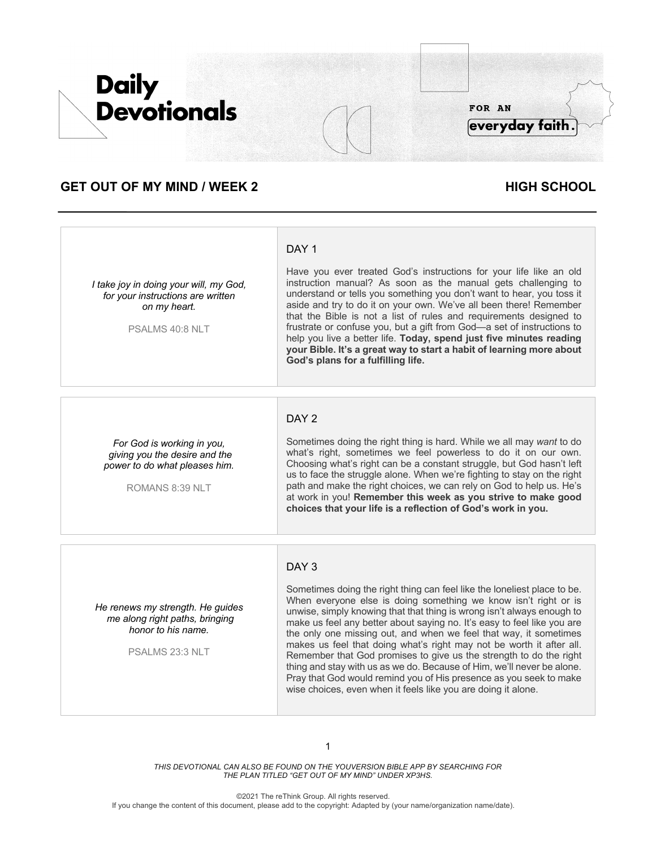

# **GET OUT OF MY MIND / WEEK 2 HIGH SCHOOL**

#### *I take joy in doing your will, my God, for your instructions are written on my heart.*

PSALMS 40:8 NLT

Have you ever treated God's instructions for your life like an old instruction manual? As soon as the manual gets challenging to understand or tells you something you don't want to hear, you toss it aside and try to do it on your own. We've all been there! Remember that the Bible is not a list of rules and requirements designed to frustrate or confuse you, but a gift from God—a set of instructions to help you live a better life. **Today, spend just five minutes reading your Bible. It's a great way to start a habit of learning more about God's plans for a fulfilling life.**

### *For God is working in you, giving you the desire and the power to do what pleases him.*

ROMANS 8:39 NLT

# DAY 2

DAY<sub>1</sub>

Sometimes doing the right thing is hard. While we all may *want* to do what's right, sometimes we feel powerless to do it on our own. Choosing what's right can be a constant struggle, but God hasn't left us to face the struggle alone. When we're fighting to stay on the right path and make the right choices, we can rely on God to help us. He's at work in you! **Remember this week as you strive to make good choices that your life is a reflection of God's work in you.**

## DAY 3

*He renews my strength. He guides me along right paths, bringing honor to his name.*

PSALMS 23:3 NLT

Sometimes doing the right thing can feel like the loneliest place to be. When everyone else is doing something we know isn't right or is unwise, simply knowing that that thing is wrong isn't always enough to make us feel any better about saying no. It's easy to feel like you are the only one missing out, and when we feel that way, it sometimes makes us feel that doing what's right may not be worth it after all. Remember that God promises to give us the strength to do the right thing and stay with us as we do. Because of Him, we'll never be alone. Pray that God would remind you of His presence as you seek to make wise choices, even when it feels like you are doing it alone.

*THIS DEVOTIONAL CAN ALSO BE FOUND ON THE YOUVERSION BIBLE APP BY SEARCHING FOR THE PLAN TITLED "GET OUT OF MY MIND" UNDER XP3HS.*

©2021 The reThink Group. All rights reserved. If you change the content of this document, please add to the copyright: Adapted by (your name/organization name/date).